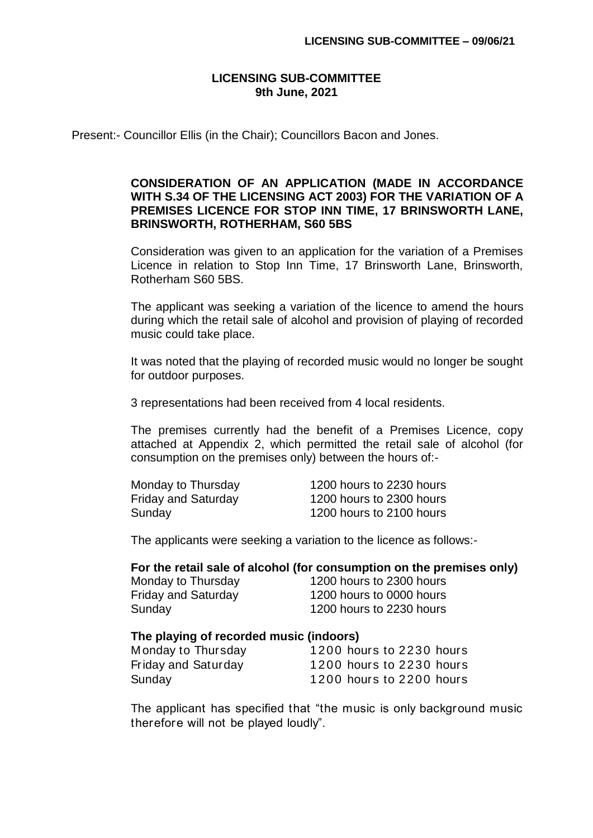## **LICENSING SUB-COMMITTEE 9th June, 2021**

Present:- Councillor Ellis (in the Chair); Councillors Bacon and Jones.

## **CONSIDERATION OF AN APPLICATION (MADE IN ACCORDANCE WITH S.34 OF THE LICENSING ACT 2003) FOR THE VARIATION OF A PREMISES LICENCE FOR STOP INN TIME, 17 BRINSWORTH LANE, BRINSWORTH, ROTHERHAM, S60 5BS**

Consideration was given to an application for the variation of a Premises Licence in relation to Stop Inn Time, 17 Brinsworth Lane, Brinsworth, Rotherham S60 5BS.

The applicant was seeking a variation of the licence to amend the hours during which the retail sale of alcohol and provision of playing of recorded music could take place.

It was noted that the playing of recorded music would no longer be sought for outdoor purposes.

3 representations had been received from 4 local residents.

The premises currently had the benefit of a Premises Licence, copy attached at Appendix 2, which permitted the retail sale of alcohol (for consumption on the premises only) between the hours of:-

| Monday to Thursday         | 1200 hours to 2230 hours |
|----------------------------|--------------------------|
| <b>Friday and Saturday</b> | 1200 hours to 2300 hours |
| Sunday                     | 1200 hours to 2100 hours |

The applicants were seeking a variation to the licence as follows:-

## **For the retail sale of alcohol (for consumption on the premises only)**

Monday to Thursday 1200 hours to 2300 hours Friday and Saturday 1200 hours to 0000 hours Sunday 1200 hours to 2230 hours

## **The playing of recorded music (indoors)**

| Monday to Thursday  | 1200 hours to 2230 hours |
|---------------------|--------------------------|
| Friday and Saturday | 1200 hours to 2230 hours |
| Sunday              | 1200 hours to 2200 hours |

The applicant has specified that "the music is only background music therefore will not be played loudly".